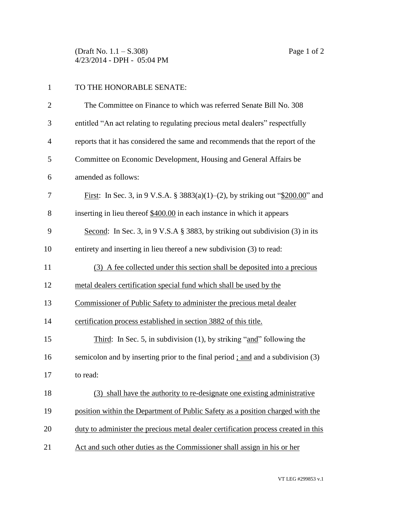(Draft No. 1.1 – S.308) Page 1 of 2 4/23/2014 - DPH - 05:04 PM

## 1 TO THE HONORABLE SENATE:

| $\overline{2}$ | The Committee on Finance to which was referred Senate Bill No. 308                     |
|----------------|----------------------------------------------------------------------------------------|
| 3              | entitled "An act relating to regulating precious metal dealers" respectfully           |
| $\overline{4}$ | reports that it has considered the same and recommends that the report of the          |
| 5              | Committee on Economic Development, Housing and General Affairs be                      |
| 6              | amended as follows:                                                                    |
| 7              | <u>First</u> : In Sec. 3, in 9 V.S.A. § 3883(a)(1)–(2), by striking out "\$200.00" and |
| 8              | inserting in lieu thereof \$400.00 in each instance in which it appears                |
| 9              | Second: In Sec. 3, in 9 V.S.A $\S$ 3883, by striking out subdivision (3) in its        |
| 10             | entirety and inserting in lieu thereof a new subdivision (3) to read:                  |
| 11             | (3) A fee collected under this section shall be deposited into a precious              |
| 12             | metal dealers certification special fund which shall be used by the                    |
| 13             | Commissioner of Public Safety to administer the precious metal dealer                  |
| 14             | certification process established in section 3882 of this title.                       |
| 15             | Third: In Sec. 5, in subdivision $(1)$ , by striking "and" following the               |
| 16             | semicolon and by inserting prior to the final period; and and a subdivision (3)        |
| 17             | to read:                                                                               |
| 18             | (3) shall have the authority to re-designate one existing administrative               |
| 19             | position within the Department of Public Safety as a position charged with the         |
| 20             | duty to administer the precious metal dealer certification process created in this     |
| 21             | Act and such other duties as the Commissioner shall assign in his or her               |